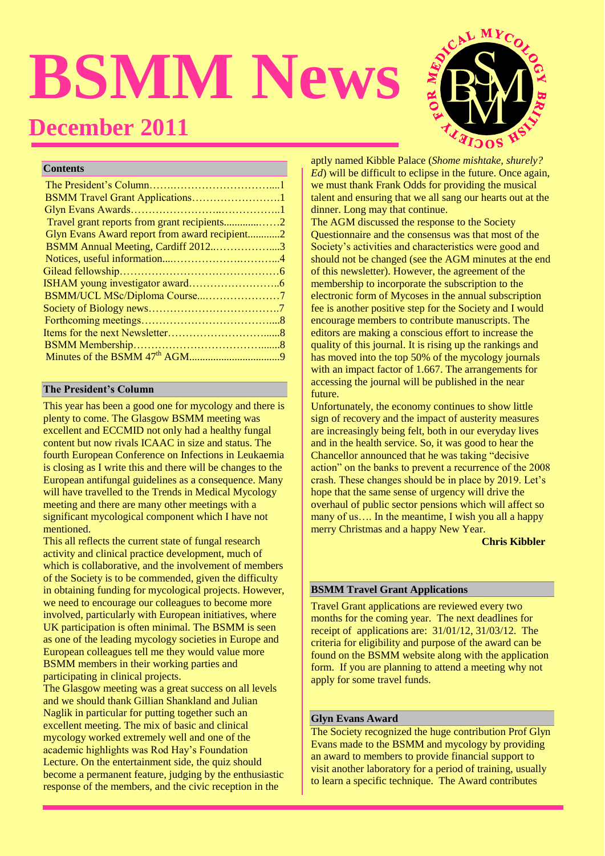# **BSMM News December 2011**



#### **Contents**

| BSMM Travel Grant Applications1               |  |
|-----------------------------------------------|--|
|                                               |  |
|                                               |  |
| Glyn Evans Award report from award recipient2 |  |
| BSMM Annual Meeting, Cardiff 20123            |  |
|                                               |  |
|                                               |  |
|                                               |  |
|                                               |  |
|                                               |  |
|                                               |  |
|                                               |  |
|                                               |  |
|                                               |  |
|                                               |  |

## **The President's Column**

This year has been a good one for mycology and there is plenty to come. The Glasgow BSMM meeting was excellent and ECCMID not only had a healthy fungal content but now rivals ICAAC in size and status. The fourth European Conference on Infections in Leukaemia is closing as I write this and there will be changes to the European antifungal guidelines as a consequence. Many will have travelled to the Trends in Medical Mycology meeting and there are many other meetings with a significant mycological component which I have not mentioned.

This all reflects the current state of fungal research activity and clinical practice development, much of which is collaborative, and the involvement of members of the Society is to be commended, given the difficulty in obtaining funding for mycological projects. However, we need to encourage our colleagues to become more involved, particularly with European initiatives, where UK participation is often minimal. The BSMM is seen as one of the leading mycology societies in Europe and European colleagues tell me they would value more BSMM members in their working parties and participating in clinical projects.

The Glasgow meeting was a great success on all levels and we should thank Gillian Shankland and Julian Naglik in particular for putting together such an excellent meeting. The mix of basic and clinical mycology worked extremely well and one of the academic highlights was Rod Hay's Foundation Lecture. On the entertainment side, the quiz should become a permanent feature, judging by the enthusiastic response of the members, and the civic reception in the

aptly named Kibble Palace (*Shome mishtake, shurely? Ed*) will be difficult to eclipse in the future. Once again, we must thank Frank Odds for providing the musical talent and ensuring that we all sang our hearts out at the dinner. Long may that continue.

The AGM discussed the response to the Society Questionnaire and the consensus was that most of the Society's activities and characteristics were good and should not be changed (see the AGM minutes at the end of this newsletter). However, the agreement of the membership to incorporate the subscription to the electronic form of Mycoses in the annual subscription fee is another positive step for the Society and I would encourage members to contribute manuscripts. The editors are making a conscious effort to increase the quality of this journal. It is rising up the rankings and has moved into the top 50% of the mycology journals with an impact factor of 1.667. The arrangements for accessing the journal will be published in the near future.

Unfortunately, the economy continues to show little sign of recovery and the impact of austerity measures are increasingly being felt, both in our everyday lives and in the health service. So, it was good to hear the Chancellor announced that he was taking "decisive action" on the banks to prevent a recurrence of the 2008 crash. These changes should be in place by 2019. Let's hope that the same sense of urgency will drive the overhaul of public sector pensions which will affect so many of us…. In the meantime, I wish you all a happy merry Christmas and a happy New Year.

 **Chris Kibbler**

## **BSMM Travel Grant Applications**

Travel Grant applications are reviewed every two months for the coming year. The next deadlines for receipt of applications are: 31/01/12, 31/03/12. The criteria for eligibility and purpose of the award can be found on the BSMM website along with the application form. If you are planning to attend a meeting why not apply for some travel funds.

#### **Glyn Evans Award**

The Society recognized the huge contribution Prof Glyn Evans made to the BSMM and mycology by providing an award to members to provide financial support to visit another laboratory for a period of training, usually to learn a specific technique. The Award contributes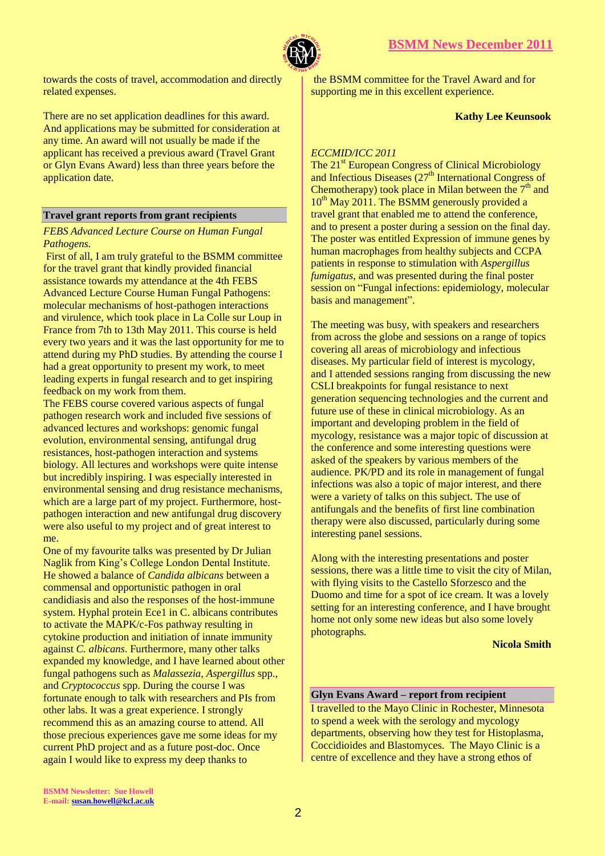

towards the costs of travel, accommodation and directly related expenses.

There are no set application deadlines for this award. And applications may be submitted for consideration at any time. An award will not usually be made if the applicant has received a previous award (Travel Grant or Glyn Evans Award) less than three years before the application date.

## **Travel grant reports from grant recipients**

### *FEBS Advanced Lecture Course on Human Fungal Pathogens.*

First of all, I am truly grateful to the BSMM committee for the travel grant that kindly provided financial assistance towards my attendance at the 4th FEBS Advanced Lecture Course Human Fungal Pathogens: molecular mechanisms of host-pathogen interactions and virulence, which took place in La Colle sur Loup in France from 7th to 13th May 2011. This course is held every two years and it was the last opportunity for me to attend during my PhD studies. By attending the course I had a great opportunity to present my work, to meet leading experts in fungal research and to get inspiring feedback on my work from them.

The FEBS course covered various aspects of fungal pathogen research work and included five sessions of advanced lectures and workshops: genomic fungal evolution, environmental sensing, antifungal drug resistances, host-pathogen interaction and systems biology. All lectures and workshops were quite intense but incredibly inspiring. I was especially interested in environmental sensing and drug resistance mechanisms, which are a large part of my project. Furthermore, hostpathogen interaction and new antifungal drug discovery were also useful to my project and of great interest to me.

One of my favourite talks was presented by Dr Julian Naglik from King's College London Dental Institute. He showed a balance of *Candida albicans* between a commensal and opportunistic pathogen in oral candidiasis and also the responses of the host-immune system. Hyphal protein Ece1 in C. albicans contributes to activate the MAPK/c-Fos pathway resulting in cytokine production and initiation of innate immunity against *C. albicans*. Furthermore, many other talks expanded my knowledge, and I have learned about other fungal pathogens such as *Malassezia*, *Aspergillus* spp., and *Cryptococcus* spp. During the course I was fortunate enough to talk with researchers and PIs from other labs. It was a great experience. I strongly recommend this as an amazing course to attend. All those precious experiences gave me some ideas for my current PhD project and as a future post-doc. Once again I would like to express my deep thanks to

the BSMM committee for the Travel Award and for supporting me in this excellent experience.

## **Kathy Lee Keunsook**

## *ECCMID/ICC 2011*

The 21<sup>st</sup> European Congress of Clinical Microbiology and Infectious Diseases  $(27<sup>th</sup> International Congress of$ Chemotherapy) took place in Milan between the  $7<sup>th</sup>$  and  $10^{th}$  May 2011. The BSMM generously provided a travel grant that enabled me to attend the conference, and to present a poster during a session on the final day. The poster was entitled Expression of immune genes by human macrophages from healthy subjects and CCPA patients in response to stimulation with *Aspergillus fumigatus*, and was presented during the final poster session on "Fungal infections: epidemiology, molecular basis and management".

The meeting was busy, with speakers and researchers from across the globe and sessions on a range of topics covering all areas of microbiology and infectious diseases. My particular field of interest is mycology, and I attended sessions ranging from discussing the new CSLI breakpoints for fungal resistance to next generation sequencing technologies and the current and future use of these in clinical microbiology. As an important and developing problem in the field of mycology, resistance was a major topic of discussion at the conference and some interesting questions were asked of the speakers by various members of the audience. PK/PD and its role in management of fungal infections was also a topic of major interest, and there were a variety of talks on this subject. The use of antifungals and the benefits of first line combination therapy were also discussed, particularly during some interesting panel sessions.

Along with the interesting presentations and poster sessions, there was a little time to visit the city of Milan, with flying visits to the Castello Sforzesco and the Duomo and time for a spot of ice cream. It was a lovely setting for an interesting conference, and I have brought home not only some new ideas but also some lovely photographs.

 **Nicola Smith**

#### **Glyn Evans Award – report from recipient**

I travelled to the Mayo Clinic in Rochester, Minnesota to spend a week with the serology and mycology departments, observing how they test for Histoplasma, Coccidioides and Blastomyces. The Mayo Clinic is a centre of excellence and they have a strong ethos of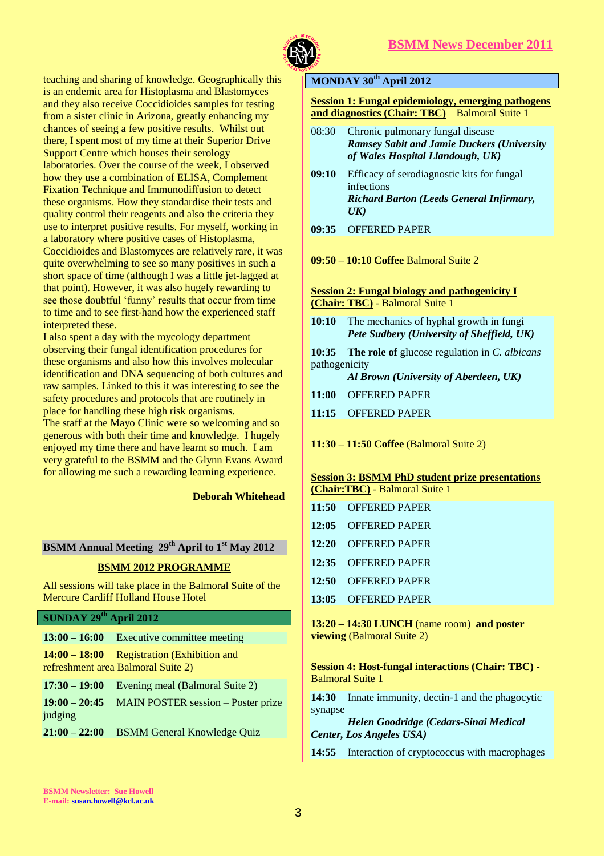

teaching and sharing of knowledge. Geographically this is an endemic area for Histoplasma and Blastomyces and they also receive Coccidioides samples for testing from a sister clinic in Arizona, greatly enhancing my chances of seeing a few positive results. Whilst out there, I spent most of my time at their Superior Drive Support Centre which houses their serology laboratories. Over the course of the week, I observed how they use a combination of ELISA, Complement Fixation Technique and Immunodiffusion to detect these organisms. How they standardise their tests and quality control their reagents and also the criteria they use to interpret positive results. For myself, working in a laboratory where positive cases of Histoplasma, Coccidioides and Blastomyces are relatively rare, it was quite overwhelming to see so many positives in such a short space of time (although I was a little jet-lagged at that point). However, it was also hugely rewarding to see those doubtful 'funny' results that occur from time to time and to see first-hand how the experienced staff interpreted these.

I also spent a day with the mycology department observing their fungal identification procedures for these organisms and also how this involves molecular identification and DNA sequencing of both cultures and raw samples. Linked to this it was interesting to see the safety procedures and protocols that are routinely in place for handling these high risk organisms.

The staff at the Mayo Clinic were so welcoming and so generous with both their time and knowledge. I hugely enjoyed my time there and have learnt so much. I am very grateful to the BSMM and the Glynn Evans Award for allowing me such a rewarding learning experience.

 **Deborah Whitehead**

## **BSMM Annual Meeting 29th April to 1st May 2012**

## **BSMM 2012 PROGRAMME**

All sessions will take place in the Balmoral Suite of the Mercure Cardiff Holland House Hotel

#### **SUNDAY 29th April 2012**

|                            | $13:00 - 16:00$ Executive committee meeting                                        |
|----------------------------|------------------------------------------------------------------------------------|
|                            | $14:00 - 18:00$ Registration (Exhibition and<br>refreshment area Balmoral Suite 2) |
| $17:30 - 19:00$            | Evening meal (Balmoral Suite 2)                                                    |
| $19:00 - 20:45$<br>judging | <b>MAIN POSTER session - Poster prize</b>                                          |
| $21:00 - 22:00$            | <b>BSMM General Knowledge Quiz</b>                                                 |

## **MONDAY 30th April 2012**

#### **Session 1: Fungal epidemiology, emerging pathogens and diagnostics (Chair: TBC)** – Balmoral Suite 1

- 08:30 Chronic pulmonary fungal disease *Ramsey Sabit and Jamie Duckers (University of Wales Hospital Llandough, UK)*
- **09:10** Efficacy of serodiagnostic kits for fungal infections *Richard Barton (Leeds General Infirmary, UK)*
- **09:35** OFFERED PAPER
- **09:50 – 10:10 Coffee** Balmoral Suite 2

#### **Session 2: Fungal biology and pathogenicity I (Chair: TBC)** - Balmoral Suite 1

**10:10** The mechanics of hyphal growth in fungi *Pete Sudbery (University of Sheffield, UK)*

**10:35 The role of** glucose regulation in *C. albicans* pathogenicity

*Al Brown (University of Aberdeen, UK)*

- **11:00** OFFERED PAPER
- **11:15** OFFERED PAPER
- **11:30 – 11:50 Coffee** (Balmoral Suite 2)

#### **Session 3: BSMM PhD student prize presentations (Chair:TBC)** - Balmoral Suite 1

| 11:50 OFFERED PAPER |
|---------------------|
| 12:05 OFFERED PAPER |
| 12:20 OFFERED PAPER |
| 12:35 OFFERED PAPER |
| 12:50 OFFERED PAPER |
| 13:05 OFFERED PAPER |
|                     |

**13:20 – 14:30 LUNCH** (name room) **and poster viewing** (Balmoral Suite 2)

**Session 4: Host-fungal interactions (Chair: TBC)** - Balmoral Suite 1

**14:30** Innate immunity, dectin-1 and the phagocytic synapse

*Helen Goodridge (Cedars-Sinai Medical Center, Los Angeles USA)*

14:55 Interaction of cryptococcus with macrophages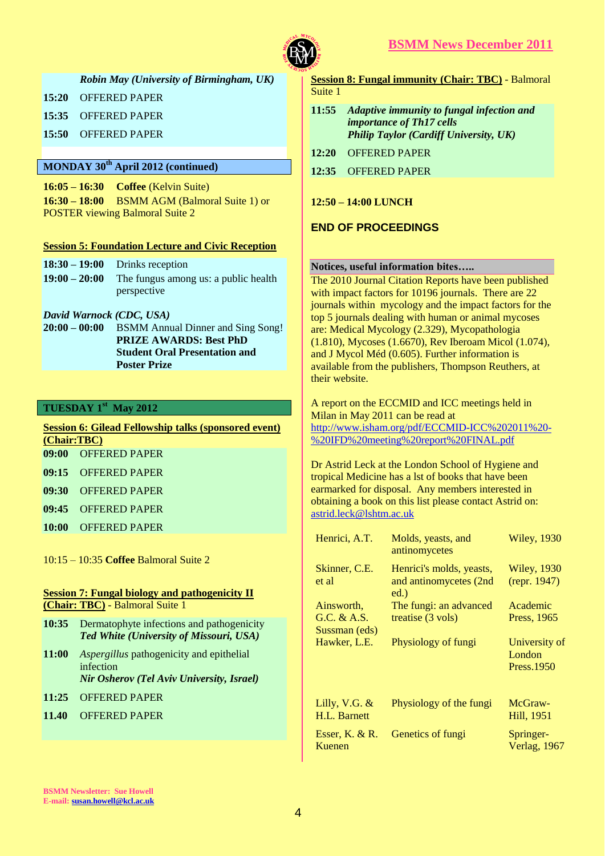

*Robin May (University of Birmingham, UK)*

**15:20** OFFERED PAPER

**15:35** OFFERED PAPER

**15:50** OFFERED PAPER

## **MONDAY 30th April 2012 (continued)**

**16:05 – 16:30 Coffee** (Kelvin Suite) **16:30 – 18:00** BSMM AGM (Balmoral Suite 1) or POSTER viewing Balmoral Suite 2

#### **Session 5: Foundation Lecture and Civic Reception**

| $18:30 - 19:00$ Drinks reception                     |
|------------------------------------------------------|
| $19:00 - 20:00$ The fungus among us: a public health |
| perspective                                          |

#### *David Warnock (CDC, USA)*

**20:00 – 00:00** BSMM Annual Dinner and Sing Song! **PRIZE AWARDS: Best PhD Student Oral Presentation and Poster Prize**

## **TUESDAY 1st May 2012**

| <b>Session 6: Gilead Fellowship talks (sponsored event)</b> |                     |  |  |  |
|-------------------------------------------------------------|---------------------|--|--|--|
| (Chair:TBC)                                                 |                     |  |  |  |
|                                                             | 09:00 OFFERED PAPER |  |  |  |
|                                                             |                     |  |  |  |

- **09:15** OFFERED PAPER
- **09:30** OFFERED PAPER
- **09:45** OFFERED PAPER
- **10:00** OFFERED PAPER

10:15 – 10:35 **Coffee** Balmoral Suite 2

#### **Session 7: Fungal biology and pathogenicity II (Chair: TBC)** - Balmoral Suite 1

- **10:35** Dermatophyte infections and pathogenicity *Ted White (University of Missouri, USA)*
- **11:00** *Aspergillus* pathogenicity and epithelial infection *Nir Osherov (Tel Aviv University, Israel)*
- **11:25** OFFERED PAPER
- **11.40** OFFERED PAPER

## **Session 8: Fungal immunity (Chair: TBC)** - Balmoral Suite 1

- **11:55** *Adaptive immunity to fungal infection and importance of Th17 cells Philip Taylor (Cardiff University, UK)*
- **12:20** OFFERED PAPER
- **12:35** OFFERED PAPER

**12:50 – 14:00 LUNCH**

## **END OF PROCEEDINGS**

#### **Notices, useful information bites…..**

The 2010 Journal Citation Reports have been published with impact factors for 10196 journals. There are 22 journals within mycology and the impact factors for the top 5 journals dealing with human or animal mycoses are: Medical Mycology (2.329), Mycopathologia (1.810), Mycoses (1.6670), Rev Iberoam Micol (1.074), and J Mycol Méd (0.605). Further information is available from the publishers, Thompson Reuthers, at their website.

A report on the ECCMID and ICC meetings held in Milan in May 2011 can be read at [http://www.isham.org/pdf/ECCMID-ICC%202011%20-](http://www.isham.org/pdf/ECCMID-ICC%202011%20-%20IFD%20meeting%20report%20FINAL.pdf) [%20IFD%20meeting%20report%20FINAL.pdf](http://www.isham.org/pdf/ECCMID-ICC%202011%20-%20IFD%20meeting%20report%20FINAL.pdf)

Dr Astrid Leck at the London School of Hygiene and tropical Medicine has a lst of books that have been earmarked for disposal. Any members interested in obtaining a book on this list please contact Astrid on: [astrid.leck@lshtm.ac.uk](mailto:astrid.leck@lshtm.ac.uk) 

| Henrici, A.T.                              | Molds, yeasts, and<br>antinomycetes                           | <b>Wiley, 1930</b>                     |
|--------------------------------------------|---------------------------------------------------------------|----------------------------------------|
| Skinner, C.E.<br>et al                     | Henrici's molds, yeasts,<br>and antinomycetes (2nd<br>$ed.$ ) | <b>Wiley</b> , 1930<br>(repr. 1947)    |
| Ainsworth.<br>G.C. & A.S.<br>Sussman (eds) | The fungi: an advanced<br>treatise (3 vols)                   | Academic<br>Press, 1965                |
| Hawker, L.E.                               | Physiology of fungi                                           | University of<br>London<br>Press. 1950 |
| Lilly, V.G. $&$<br>H.L. Barnett            | Physiology of the fungi                                       | McGraw-<br>Hill, 1951                  |
| Esser, K. $& R$ .<br>Kuenen                | Genetics of fungi                                             | Springer-<br>Verlag, 1967              |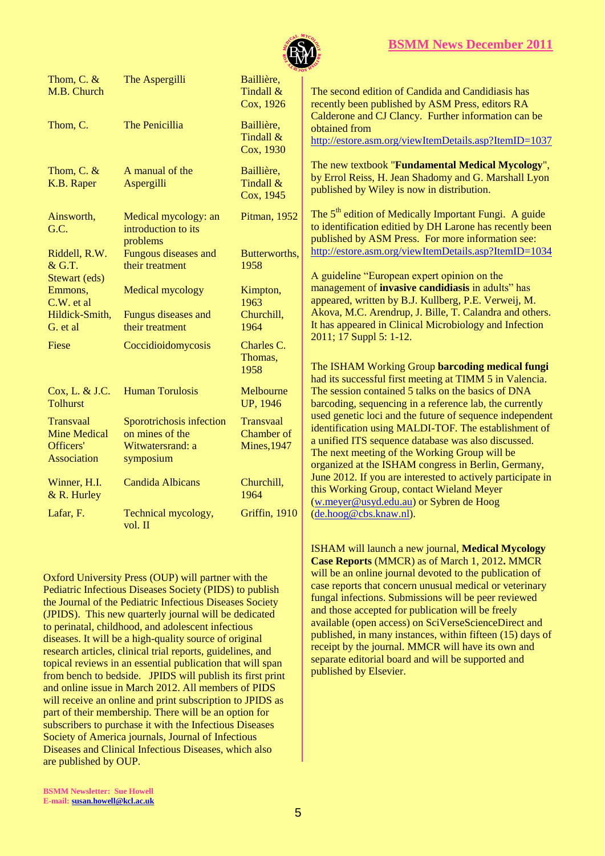

| Thom, C. $&$<br>M.B. Church                                                | The Aspergilli                                                               | Baillière,<br>Tindall &<br>Cox, 1926                        | Th<br>rec                             |
|----------------------------------------------------------------------------|------------------------------------------------------------------------------|-------------------------------------------------------------|---------------------------------------|
| Thom, C.                                                                   | The Penicillia                                                               | Baillière,<br>Tindall &<br>Cox, 1930                        | Ca<br>ob <sub>i</sub><br><u>htt</u>   |
| Thom, C. $&$<br>K.B. Raper                                                 | A manual of the<br>Aspergilli                                                | Baillière,<br>Tindall &<br>Cox, 1945                        | Th<br>by<br>pul                       |
| Ainsworth,<br>G.C.                                                         | Medical mycology: an<br>introduction to its<br>problems                      | Pitman, 1952                                                | Th<br>$to$ :<br>pul                   |
| Riddell, R.W.<br>$&$ G.T.<br>Stewart (eds)                                 | Fungous diseases and<br>their treatment                                      | Butterworths,<br>1958                                       | <u>htt</u><br>$\mathbf{A}$            |
| Emmons,<br>C.W. et al<br>Hildick-Smith,<br>G. et al                        | <b>Medical mycology</b><br>Fungus diseases and<br>their treatment            | Kimpton,<br>1963<br>Churchill,<br>1964                      | ma<br>ap<br>Ak<br>It l                |
| Fiese                                                                      | Coccidioidomycosis                                                           | Charles C.<br>Thomas,<br>1958                               | 20<br>Th<br>ha                        |
| Cox, L. & J.C.<br><b>Tolhurst</b>                                          | <b>Human Torulosis</b>                                                       | Melbourne<br><b>UP, 1946</b>                                | Th<br>ba                              |
| <b>Transvaal</b><br><b>Mine Medical</b><br>Officers'<br><b>Association</b> | Sporotrichosis infection<br>on mines of the<br>Witwatersrand: a<br>symposium | <b>Transvaal</b><br><b>Chamber</b> of<br><b>Mines, 1947</b> | <b>use</b><br>ide<br>a u<br>Th<br>org |
| Winner, H.I.<br>$& R.$ Hurley                                              | <b>Candida Albicans</b>                                                      | Churchill,<br>1964                                          | Jui<br>thi<br>$(\underline{w})$       |
| Lafar, F.                                                                  | Technical mycology,<br>vol. II                                               | Griffin, 1910                                               | $(d\epsilon$                          |

Oxford University Press (OUP) will partner with the Pediatric Infectious Diseases Society (PIDS) to publish the Journal of the Pediatric Infectious Diseases Society (JPIDS). This new quarterly journal will be dedicated to perinatal, childhood, and adolescent infectious diseases. It will be a high-quality source of original research articles, clinical trial reports, guidelines, and topical reviews in an essential publication that will span from bench to bedside. JPIDS will publish its first print and online issue in March 2012. All members of PIDS will receive an online and print subscription to JPIDS as part of their membership. There will be an option for subscribers to purchase it with the Infectious Diseases Society of America journals, Journal of Infectious Diseases and Clinical Infectious Diseases, which also are published by OUP.

e second edition of Candida and Candidiasis has ently been published by ASM Press, editors RA Ilderone and CJ Clancy. Further information can be tained from p://estore.asm.org/viewItemDetails.asp?ItemID=1037 **E** new textbook "**Fundamental Medical Mycology**", Errol Reiss, H. Jean Shadomy and G. Marshall Lyon blished by Wiley is now in distribution.  $\epsilon$  5<sup>th</sup> edition of Medically Important Fungi. A guide identification editied by DH Larone has recently been blished by ASM Press. For more information see: p://estore.asm.org/viewItemDetails.asp?ItemID=1034 euideline "European expert opinion on the management of **invasive candidiasis** in adults" has peared, written by B.J. Kullberg, P.E. Verweij, M. tova, M.C. Arendrup, J. Bille, T. Calandra and others. has appeared in Clinical Microbiology and Infection 2011; 17 Suppl 5: 1-12.

**EXHAM Working Group barcoding medical fungi** d its successful first meeting at TIMM 5 in Valencia. e session contained 5 talks on the basics of DNA rcoding, sequencing in a reference lab, the currently ed genetic loci and the future of sequence independent entification using MALDI-TOF. The establishment of a unified ITS sequence database was also discussed. e next meeting of the Working Group will be ganized at the ISHAM congress in Berlin, Germany, ne 2012. If you are interested to actively participate in s Working Group, contact Wieland Meyer .meyer@usyd.edu.au) or Sybren de Hoog e.hoog@cbs.knaw.nl).

ISHAM will launch a new journal, **Medical Mycology Case Reports** (MMCR) as of March 1, 2012**.** MMCR will be an online journal devoted to the publication of case reports that concern unusual medical or veterinary fungal infections. Submissions will be peer reviewed and those accepted for publication will be freely available (open access) on SciVerseScienceDirect and published, in many instances, within fifteen (15) days of receipt by the journal. MMCR will have its own and separate editorial board and will be supported and published by Elsevier.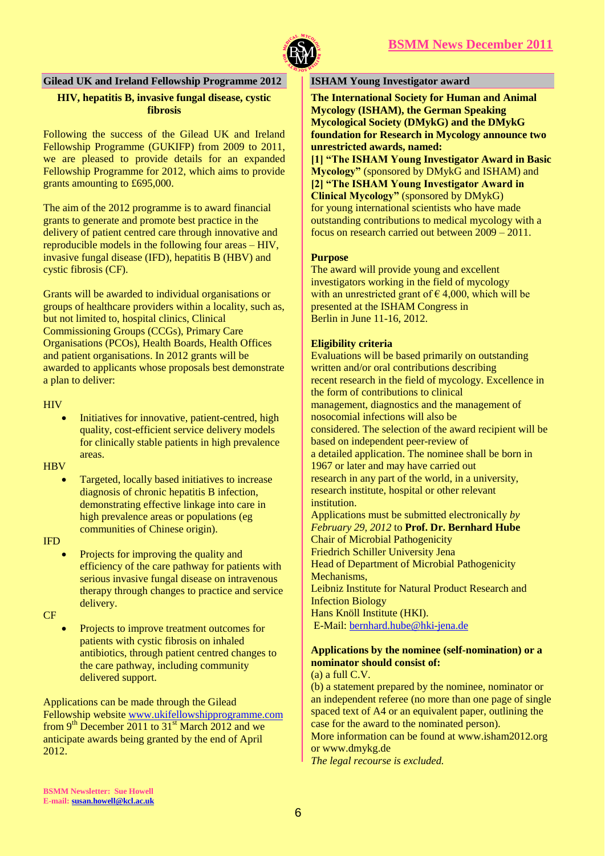



## **Gilead UK and Ireland Fellowship Programme 2012**

## **HIV, hepatitis B, invasive fungal disease, cystic fibrosis**

Following the success of the Gilead UK and Ireland Fellowship Programme (GUKIFP) from 2009 to 2011, we are pleased to provide details for an expanded Fellowship Programme for 2012, which aims to provide grants amounting to £695,000.

The aim of the 2012 programme is to award financial grants to generate and promote best practice in the delivery of patient centred care through innovative and reproducible models in the following four areas – HIV, invasive fungal disease (IFD), hepatitis B (HBV) and cystic fibrosis (CF).

Grants will be awarded to individual organisations or groups of healthcare providers within a locality, such as, but not limited to, hospital clinics, Clinical Commissioning Groups (CCGs), Primary Care Organisations (PCOs), Health Boards, Health Offices and patient organisations. In 2012 grants will be awarded to applicants whose proposals best demonstrate a plan to deliver:

#### **HIV**

 Initiatives for innovative, patient-centred, high quality, cost-efficient service delivery models for clinically stable patients in high prevalence areas.

**HBV** 

 Targeted, locally based initiatives to increase diagnosis of chronic hepatitis B infection, demonstrating effective linkage into care in high prevalence areas or populations (eg communities of Chinese origin).

IFD

 Projects for improving the quality and efficiency of the care pathway for patients with serious invasive fungal disease on intravenous therapy through changes to practice and service delivery.

CF

 Projects to improve treatment outcomes for patients with cystic fibrosis on inhaled antibiotics, through patient centred changes to the care pathway, including community delivered support.

Applications can be made through the Gilead Fellowship website [www.ukifellowshipprogramme.com](http://www.ukifellowshipprogramme.com/) from  $9<sup>th</sup>$  December 2011 to 31<sup>st</sup> March 2012 and we anticipate awards being granted by the end of April 2012.

## **ISHAM Young Investigator award**

**The International Society for Human and Animal Mycology (ISHAM), the German Speaking Mycological Society (DMykG) and the DMykG foundation for Research in Mycology announce two unrestricted awards, named:**

**[1] "The ISHAM Young Investigator Award in Basic Mycology"** (sponsored by DMykG and ISHAM) and **[2] "The ISHAM Young Investigator Award in Clinical Mycology"** (sponsored by DMykG) for young international scientists who have made outstanding contributions to medical mycology with a focus on research carried out between 2009 – 2011.

#### **Purpose**

The award will provide young and excellent investigators working in the field of mycology with an unrestricted grant of  $\epsilon$  4,000, which will be presented at the ISHAM Congress in Berlin in June 11-16, 2012.

#### **Eligibility criteria**

Evaluations will be based primarily on outstanding written and/or oral contributions describing recent research in the field of mycology. Excellence in the form of contributions to clinical management, diagnostics and the management of nosocomial infections will also be considered. The selection of the award recipient will be based on independent peer-review of a detailed application. The nominee shall be born in 1967 or later and may have carried out research in any part of the world, in a university, research institute, hospital or other relevant institution.

Applications must be submitted electronically *by February 29, 2012* to **Prof. Dr. Bernhard Hube** Chair of Microbial Pathogenicity Friedrich Schiller University Jena Head of Department of Microbial Pathogenicity Mechanisms, Leibniz Institute for Natural Product Research and Infection Biology Hans Knöll Institute (HKI). E-Mail: [bernhard.hube@hki-jena.de](mailto:bernhard.hube@hki-jena.de)

## **Applications by the nominee (self-nomination) or a nominator should consist of:**

(a) a full C.V.

(b) a statement prepared by the nominee, nominator or an independent referee (no more than one page of single spaced text of A4 or an equivalent paper, outlining the case for the award to the nominated person).

More information can be found at www.isham2012.org or www.dmykg.de

*The legal recourse is excluded.*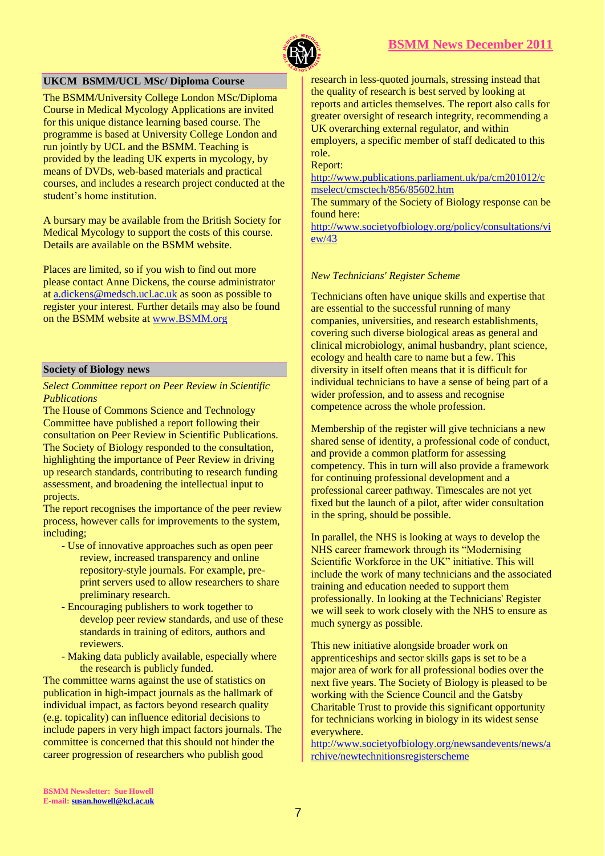

## **UKCM BSMM/UCL MSc/ Diploma Course**

The BSMM/University College London MSc/Diploma Course in Medical Mycology Applications are invited for this unique distance learning based course. The programme is based at University College London and run jointly by UCL and the BSMM. Teaching is provided by the leading UK experts in mycology, by means of DVDs, web-based materials and practical courses, and includes a research project conducted at the student's home institution.

A bursary may be available from the British Society for Medical Mycology to support the costs of this course. Details are available on the BSMM website.

Places are limited, so if you wish to find out more please contact Anne Dickens, the course administrator at [a.dickens@medsch.ucl.ac.uk](mailto:a.dickens@medsch.ucl.ac.uk) as soon as possible to register your interest. Further details may also be found on the BSMM website at [www.BSMM.org](http://www.bsmm.org/)

#### **Society of Biology news**

*Select Committee report on Peer Review in Scientific Publications*

The House of Commons Science and Technology Committee have published a report following their consultation on Peer Review in Scientific Publications. The Society of Biology responded to the consultation, highlighting the importance of Peer Review in driving up research standards, contributing to research funding assessment, and broadening the intellectual input to projects.

The report recognises the importance of the peer review process, however calls for improvements to the system, including;

- Use of innovative approaches such as open peer review, increased transparency and online repository-style journals. For example, preprint servers used to allow researchers to share preliminary research.
- Encouraging publishers to work together to develop peer review standards, and use of these standards in training of editors, authors and reviewers.
- Making data publicly available, especially where the research is publicly funded.

The committee warns against the use of statistics on publication in high-impact journals as the hallmark of individual impact, as factors beyond research quality (e.g. topicality) can influence editorial decisions to include papers in very high impact factors journals. The committee is concerned that this should not hinder the career progression of researchers who publish good

research in less-quoted journals, stressing instead that the quality of research is best served by looking at reports and articles themselves. The report also calls for greater oversight of research integrity, recommending a UK overarching external regulator, and within employers, a specific member of staff dedicated to this role.

Report:

[http://www.publications.parliament.uk/pa/cm201012/c](https://kclmail.kcl.ac.uk/OWA/redir.aspx?C=de9d7bfca6c74863968e19d9cf3e2730&URL=http%3a%2f%2fwww.publications.parliament.uk%2fpa%2fcm201012%2fcmselect%2fcmsctech%2f856%2f85602.htm) [mselect/cmsctech/856/85602.htm](https://kclmail.kcl.ac.uk/OWA/redir.aspx?C=de9d7bfca6c74863968e19d9cf3e2730&URL=http%3a%2f%2fwww.publications.parliament.uk%2fpa%2fcm201012%2fcmselect%2fcmsctech%2f856%2f85602.htm)

The summary of the Society of Biology response can be found here:

[http://www.societyofbiology.org/policy/consultations/vi](https://kclmail.kcl.ac.uk/OWA/redir.aspx?C=de9d7bfca6c74863968e19d9cf3e2730&URL=http%3a%2f%2fwww.societyofbiology.org%2fpolicy%2fconsultations%2fview%2f43) [ew/43](https://kclmail.kcl.ac.uk/OWA/redir.aspx?C=de9d7bfca6c74863968e19d9cf3e2730&URL=http%3a%2f%2fwww.societyofbiology.org%2fpolicy%2fconsultations%2fview%2f43)

#### *New Technicians' Register Scheme*

Technicians often have unique skills and expertise that are essential to the successful running of many companies, universities, and research establishments, covering such diverse biological areas as general and clinical microbiology, animal husbandry, plant science, ecology and health care to name but a few. This diversity in itself often means that it is difficult for individual technicians to have a sense of being part of a wider profession, and to assess and recognise competence across the whole profession.

Membership of the register will give technicians a new shared sense of identity, a professional code of conduct, and provide a common platform for assessing competency. This in turn will also provide a framework for continuing professional development and a professional career pathway. Timescales are not yet fixed but the launch of a pilot, after wider consultation in the spring, should be possible.

In parallel, the NHS is looking at ways to develop the NHS career framework through its "Modernising Scientific Workforce in the UK" initiative. This will include the work of many technicians and the associated training and education needed to support them professionally. In looking at the Technicians' Register we will seek to work closely with the NHS to ensure as much synergy as possible.

This new initiative alongside broader work on apprenticeships and sector skills gaps is set to be a major area of work for all professional bodies over the next five years. The Society of Biology is pleased to be working with the Science Council and the Gatsby Charitable Trust to provide this significant opportunity for technicians working in biology in its widest sense everywhere.

[http://www.societyofbiology.org/newsandevents/news/a](http://www.societyofbiology.org/newsandevents/news/archive/newtechnitionsregisterscheme) [rchive/newtechnitionsregisterscheme](http://www.societyofbiology.org/newsandevents/news/archive/newtechnitionsregisterscheme)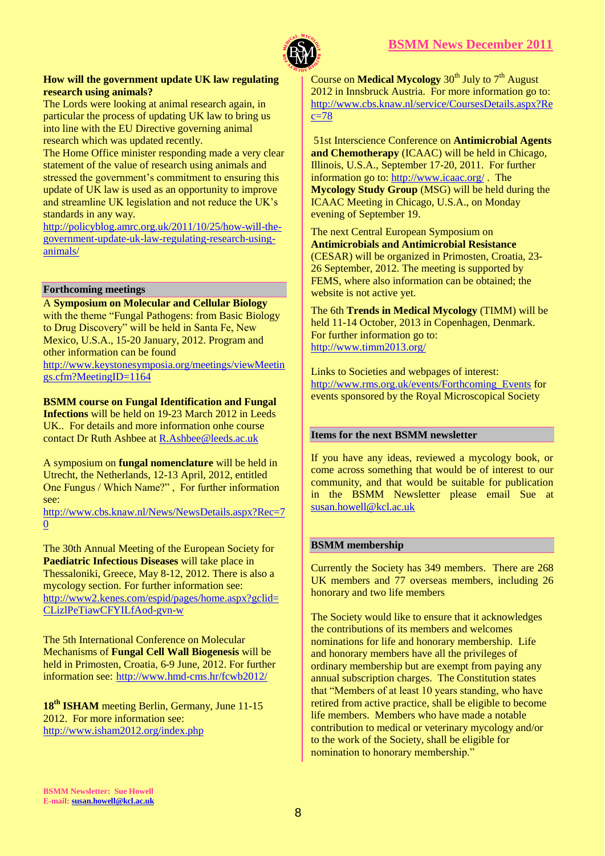



#### **How will the government update UK law regulating research using animals?**

The Lords were looking at animal research again, in particular the process of updating UK law to bring us into line with the EU Directive governing animal research which was updated recently.

The Home Office minister responding made a very clear statement of the value of research using animals and stressed the government's commitment to ensuring this update of UK law is used as an opportunity to improve and streamline UK legislation and not reduce the UK's standards in any way.

[http://policyblog.amrc.org.uk/2011/10/25/how-will-the](https://kclmail.kcl.ac.uk/OWA/redir.aspx?C=ce36f48b20f044edbc40763e14407923&URL=http%3a%2f%2fpolicyblog.amrc.org.uk%2f2011%2f10%2f25%2fhow-will-the-government-update-uk-law-regulating-research-using-animals%2f)[government-update-uk-law-regulating-research-using](https://kclmail.kcl.ac.uk/OWA/redir.aspx?C=ce36f48b20f044edbc40763e14407923&URL=http%3a%2f%2fpolicyblog.amrc.org.uk%2f2011%2f10%2f25%2fhow-will-the-government-update-uk-law-regulating-research-using-animals%2f)[animals/](https://kclmail.kcl.ac.uk/OWA/redir.aspx?C=ce36f48b20f044edbc40763e14407923&URL=http%3a%2f%2fpolicyblog.amrc.org.uk%2f2011%2f10%2f25%2fhow-will-the-government-update-uk-law-regulating-research-using-animals%2f)

#### **Forthcoming meetings**

A **Symposium on Molecular and Cellular Biology** with the theme "Fungal Pathogens: from Basic Biology to Drug Discovery" will be held in Santa Fe, New Mexico, U.S.A., 15-20 January, 2012. Program and other information can be found

[http://www.keystonesymposia.org/meetings/viewMeetin](http://www.keystonesymposia.org/meetings/viewMeetings.cfm?MeetingID=1164) [gs.cfm?MeetingID=1164](http://www.keystonesymposia.org/meetings/viewMeetings.cfm?MeetingID=1164)

#### **BSMM course on Fungal Identification and Fungal**

**Infections** will be held on 19-23 March 2012 in Leeds UK.. For details and more information onhe course contact Dr Ruth Ashbee a[t R.Ashbee@leeds.ac.uk](mailto:R.Ashbee@leeds.ac.uk)

A symposium on **fungal nomenclature** will be held in Utrecht, the Netherlands, 12-13 April, 2012, entitled One Fungus / Which Name?" , For further information see:

[http://www.cbs.knaw.nl/News/NewsDetails.aspx?Rec=7](http://www.cbs.knaw.nl/News/NewsDetails.aspx?Rec=70) [0](http://www.cbs.knaw.nl/News/NewsDetails.aspx?Rec=70)

The 30th Annual Meeting of the European Society for **Paediatric Infectious Diseases** will take place in Thessaloniki, Greece, May 8-12, 2012. There is also a mycology section. For further information see: [http://www2.kenes.com/espid/pages/home.aspx?gclid=](http://www2.kenes.com/espid/pages/home.aspx?gclid=CLizlPeTiawCFYILfAod-gvn-w) [CLizlPeTiawCFYILfAod-gvn-w](http://www2.kenes.com/espid/pages/home.aspx?gclid=CLizlPeTiawCFYILfAod-gvn-w)

The 5th International Conference on Molecular Mechanisms of **Fungal Cell Wall Biogenesis** will be held in Primosten, Croatia, 6-9 June, 2012. For further information see: <http://www.hmd-cms.hr/fcwb2012/>

**18th ISHAM** meeting Berlin, Germany, June 11-15 2012. For more information see: <http://www.isham2012.org/index.php>

Course on **Medical Mycology** 30<sup>th</sup> July to 7<sup>th</sup> August 2012 in Innsbruck Austria. For more information go to: [http://www.cbs.knaw.nl/service/CoursesDetails.aspx?Re](http://www.cbs.knaw.nl/service/CoursesDetails.aspx?Rec=78)  $c=78$ 

51st Interscience Conference on **Antimicrobial Agents and Chemotherapy** (ICAAC) will be held in Chicago, Illinois, U.S.A., September 17-20, 2011. For further information go to: <http://www.icaac.org/> . The **Mycology Study Group** (MSG) will be held during the ICAAC Meeting in Chicago, U.S.A., on Monday evening of September 19.

The next Central European Symposium on **Antimicrobials and Antimicrobial Resistance** (CESAR) will be organized in Primosten, Croatia, 23- 26 September, 2012. The meeting is supported by FEMS, where also information can be obtained; the website is not active yet.

The 6th **Trends in Medical Mycology** (TIMM) will be held 11-14 October, 2013 in Copenhagen, Denmark. For further information go to: <http://www.timm2013.org/>

Links to Societies and webpages of interest: [http://www.rms.org.uk/events/Forthcoming\\_Events](http://www.rms.org.uk/events/Forthcoming_Events) for events sponsored by the Royal Microscopical Society

#### **Items for the next BSMM newsletter**

If you have any ideas, reviewed a mycology book, or come across something that would be of interest to our community, and that would be suitable for publication in the BSMM Newsletter please email Sue at [susan.howell@kcl.ac.uk](mailto:susan.howell@kcl.ac.uk) 

#### **BSMM membership**

Currently the Society has 349 members. There are 268 UK members and 77 overseas members, including 26 honorary and two life members

The Society would like to ensure that it acknowledges the contributions of its members and welcomes nominations for life and honorary membership. Life and honorary members have all the privileges of ordinary membership but are exempt from paying any annual subscription charges. The Constitution states that "Members of at least 10 years standing, who have retired from active practice, shall be eligible to become life members. Members who have made a notable contribution to medical or veterinary mycology and/or to the work of the Society, shall be eligible for nomination to honorary membership."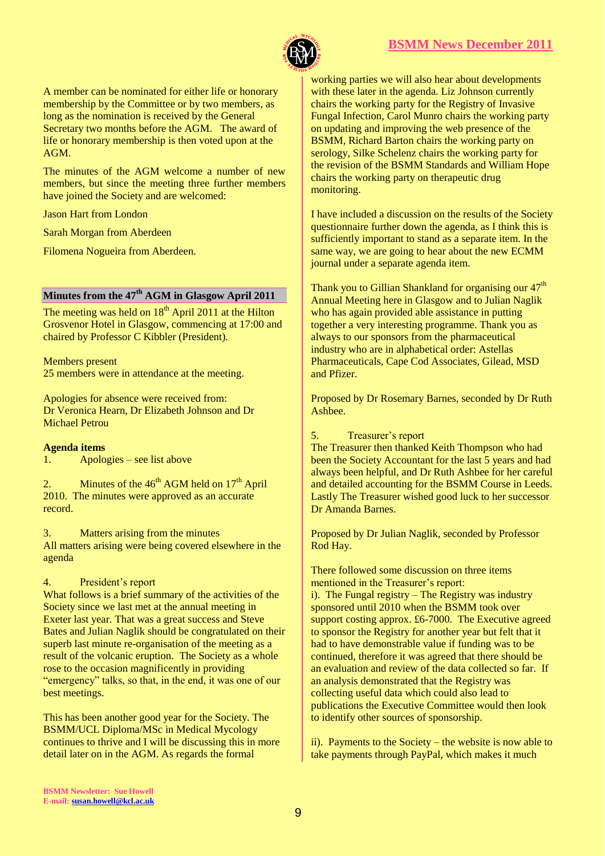

A member can be nominated for either life or honorary membership by the Committee or by two members, as long as the nomination is received by the General Secretary two months before the AGM. The award of life or honorary membership is then voted upon at the AGM.

The minutes of the AGM welcome a number of new members, but since the meeting three further members have joined the Society and are welcomed:

Jason Hart from London

Sarah Morgan from Aberdeen

Filomena Nogueira from Aberdeen.

## **Minutes from the 47th AGM in Glasgow April 2011**

The meeting was held on  $18<sup>th</sup>$  April 2011 at the Hilton Grosvenor Hotel in Glasgow, commencing at 17:00 and chaired by Professor C Kibbler (President).

Members present 25 members were in attendance at the meeting.

Apologies for absence were received from: Dr Veronica Hearn, Dr Elizabeth Johnson and Dr Michael Petrou

#### **Agenda items**

1. Apologies – see list above

2. Minutes of the  $46<sup>th</sup>$  AGM held on  $17<sup>th</sup>$  April 2010. The minutes were approved as an accurate record.

3. Matters arising from the minutes All matters arising were being covered elsewhere in the agenda

#### 4. President's report

What follows is a brief summary of the activities of the Society since we last met at the annual meeting in Exeter last year. That was a great success and Steve Bates and Julian Naglik should be congratulated on their superb last minute re-organisation of the meeting as a result of the volcanic eruption. The Society as a whole rose to the occasion magnificently in providing "emergency" talks, so that, in the end, it was one of our best meetings.

This has been another good year for the Society. The BSMM/UCL Diploma/MSc in Medical Mycology continues to thrive and I will be discussing this in more detail later on in the AGM. As regards the formal

working parties we will also hear about developments with these later in the agenda. Liz Johnson currently chairs the working party for the Registry of Invasive Fungal Infection, Carol Munro chairs the working party on updating and improving the web presence of the BSMM, Richard Barton chairs the working party on serology, Silke Schelenz chairs the working party for the revision of the BSMM Standards and William Hope chairs the working party on therapeutic drug monitoring.

I have included a discussion on the results of the Society questionnaire further down the agenda, as I think this is sufficiently important to stand as a separate item. In the same way, we are going to hear about the new ECMM journal under a separate agenda item.

Thank you to Gillian Shankland for organising our  $47<sup>th</sup>$ Annual Meeting here in Glasgow and to Julian Naglik who has again provided able assistance in putting together a very interesting programme. Thank you as always to our sponsors from the pharmaceutical industry who are in alphabetical order: Astellas Pharmaceuticals, Cape Cod Associates, Gilead, MSD and Pfizer.

Proposed by Dr Rosemary Barnes, seconded by Dr Ruth Ashbee.

#### 5. Treasurer's report

The Treasurer then thanked Keith Thompson who had been the Society Accountant for the last 5 years and had always been helpful, and Dr Ruth Ashbee for her careful and detailed accounting for the BSMM Course in Leeds. Lastly The Treasurer wished good luck to her successor Dr Amanda Barnes.

Proposed by Dr Julian Naglik, seconded by Professor Rod Hay.

There followed some discussion on three items mentioned in the Treasurer's report:

i). The Fungal registry – The Registry was industry sponsored until 2010 when the BSMM took over support costing approx. £6-7000. The Executive agreed to sponsor the Registry for another year but felt that it had to have demonstrable value if funding was to be continued, therefore it was agreed that there should be an evaluation and review of the data collected so far. If an analysis demonstrated that the Registry was collecting useful data which could also lead to publications the Executive Committee would then look to identify other sources of sponsorship.

ii). Payments to the Society – the website is now able to take payments through PayPal, which makes it much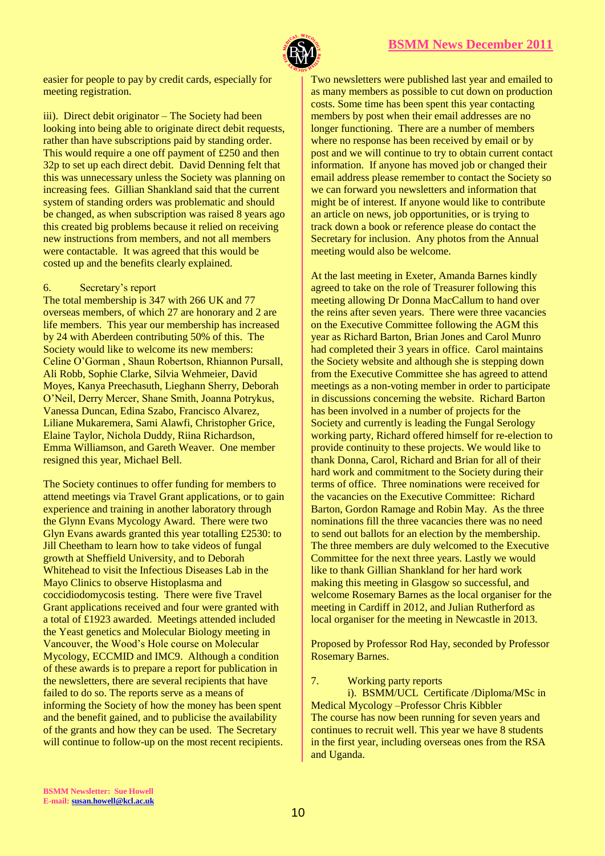

easier for people to pay by credit cards, especially for meeting registration.

iii). Direct debit originator – The Society had been looking into being able to originate direct debit requests, rather than have subscriptions paid by standing order. This would require a one off payment of £250 and then 32p to set up each direct debit. David Denning felt that this was unnecessary unless the Society was planning on increasing fees. Gillian Shankland said that the current system of standing orders was problematic and should be changed, as when subscription was raised 8 years ago this created big problems because it relied on receiving new instructions from members, and not all members were contactable. It was agreed that this would be costed up and the benefits clearly explained.

#### 6. Secretary's report

The total membership is 347 with 266 UK and 77 overseas members, of which 27 are honorary and 2 are life members. This year our membership has increased by 24 with Aberdeen contributing 50% of this. The Society would like to welcome its new members: Celine O'Gorman , Shaun Robertson, Rhiannon Pursall, Ali Robb, Sophie Clarke, Silvia Wehmeier, David Moyes, Kanya Preechasuth, Lieghann Sherry, Deborah O'Neil, Derry Mercer, Shane Smith, Joanna Potrykus, Vanessa Duncan, Edina Szabo, Francisco Alvarez, Liliane Mukaremera, Sami Alawfi, Christopher Grice, Elaine Taylor, Nichola Duddy, Riina Richardson, Emma Williamson, and Gareth Weaver. One member resigned this year, Michael Bell.

The Society continues to offer funding for members to attend meetings via Travel Grant applications, or to gain experience and training in another laboratory through the Glynn Evans Mycology Award. There were two Glyn Evans awards granted this year totalling £2530: to Jill Cheetham to learn how to take videos of fungal growth at Sheffield University, and to Deborah Whitehead to visit the Infectious Diseases Lab in the Mayo Clinics to observe Histoplasma and coccidiodomycosis testing. There were five Travel Grant applications received and four were granted with a total of £1923 awarded. Meetings attended included the Yeast genetics and Molecular Biology meeting in Vancouver, the Wood's Hole course on Molecular Mycology, ECCMID and IMC9. Although a condition of these awards is to prepare a report for publication in the newsletters, there are several recipients that have failed to do so. The reports serve as a means of informing the Society of how the money has been spent and the benefit gained, and to publicise the availability of the grants and how they can be used. The Secretary will continue to follow-up on the most recent recipients.

Two newsletters were published last year and emailed to as many members as possible to cut down on production costs. Some time has been spent this year contacting members by post when their email addresses are no longer functioning. There are a number of members where no response has been received by email or by post and we will continue to try to obtain current contact information. If anyone has moved job or changed their email address please remember to contact the Society so we can forward you newsletters and information that might be of interest. If anyone would like to contribute an article on news, job opportunities, or is trying to track down a book or reference please do contact the Secretary for inclusion. Any photos from the Annual meeting would also be welcome.

At the last meeting in Exeter, Amanda Barnes kindly agreed to take on the role of Treasurer following this meeting allowing Dr Donna MacCallum to hand over the reins after seven years. There were three vacancies on the Executive Committee following the AGM this year as Richard Barton, Brian Jones and Carol Munro had completed their 3 years in office. Carol maintains the Society website and although she is stepping down from the Executive Committee she has agreed to attend meetings as a non-voting member in order to participate in discussions concerning the website. Richard Barton has been involved in a number of projects for the Society and currently is leading the Fungal Serology working party, Richard offered himself for re-election to provide continuity to these projects. We would like to thank Donna, Carol, Richard and Brian for all of their hard work and commitment to the Society during their terms of office. Three nominations were received for the vacancies on the Executive Committee: Richard Barton, Gordon Ramage and Robin May. As the three nominations fill the three vacancies there was no need to send out ballots for an election by the membership. The three members are duly welcomed to the Executive Committee for the next three years. Lastly we would like to thank Gillian Shankland for her hard work making this meeting in Glasgow so successful, and welcome Rosemary Barnes as the local organiser for the meeting in Cardiff in 2012, and Julian Rutherford as local organiser for the meeting in Newcastle in 2013.

Proposed by Professor Rod Hay, seconded by Professor Rosemary Barnes.

7. Working party reports

i). BSMM/UCL Certificate /Diploma/MSc in Medical Mycology –Professor Chris Kibbler The course has now been running for seven years and continues to recruit well. This year we have 8 students in the first year, including overseas ones from the RSA and Uganda.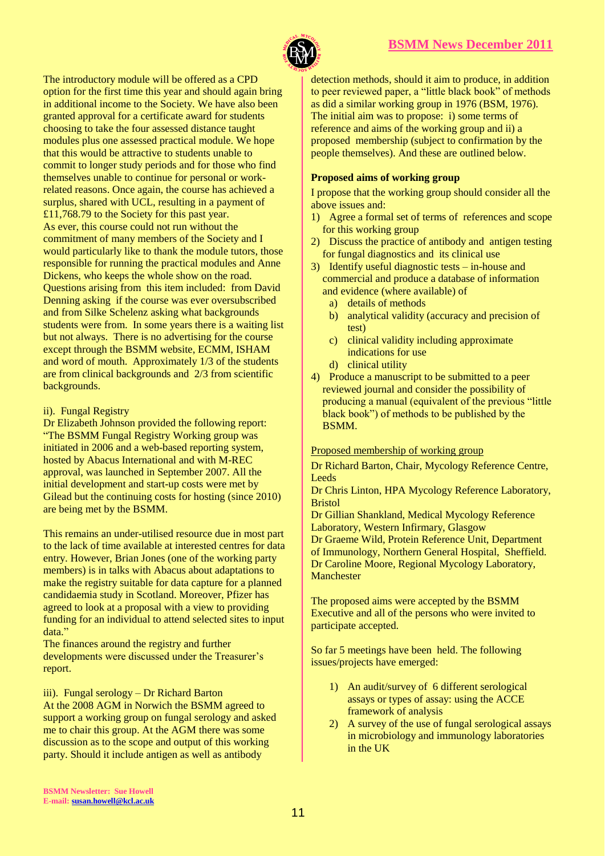

The introductory module will be offered as a CPD option for the first time this year and should again bring in additional income to the Society. We have also been granted approval for a certificate award for students choosing to take the four assessed distance taught modules plus one assessed practical module. We hope that this would be attractive to students unable to commit to longer study periods and for those who find themselves unable to continue for personal or workrelated reasons. Once again, the course has achieved a surplus, shared with UCL, resulting in a payment of £11,768.79 to the Society for this past year. As ever, this course could not run without the commitment of many members of the Society and I would particularly like to thank the module tutors, those responsible for running the practical modules and Anne Dickens, who keeps the whole show on the road. Questions arising from this item included: from David Denning asking if the course was ever oversubscribed and from Silke Schelenz asking what backgrounds students were from. In some years there is a waiting list but not always. There is no advertising for the course except through the BSMM website, ECMM, ISHAM and word of mouth. Approximately 1/3 of the students are from clinical backgrounds and 2/3 from scientific backgrounds.

#### ii). Fungal Registry

Dr Elizabeth Johnson provided the following report: "The BSMM Fungal Registry Working group was initiated in 2006 and a web-based reporting system, hosted by Abacus International and with M-REC approval, was launched in September 2007. All the initial development and start-up costs were met by Gilead but the continuing costs for hosting (since 2010) are being met by the BSMM.

This remains an under-utilised resource due in most part to the lack of time available at interested centres for data entry. However, Brian Jones (one of the working party members) is in talks with Abacus about adaptations to make the registry suitable for data capture for a planned candidaemia study in Scotland. Moreover, Pfizer has agreed to look at a proposal with a view to providing funding for an individual to attend selected sites to input data."

The finances around the registry and further developments were discussed under the Treasurer's report.

iii). Fungal serology – Dr Richard Barton

At the 2008 AGM in Norwich the BSMM agreed to support a working group on fungal serology and asked me to chair this group. At the AGM there was some discussion as to the scope and output of this working party. Should it include antigen as well as antibody

detection methods, should it aim to produce, in addition to peer reviewed paper, a "little black book" of methods as did a similar working group in 1976 (BSM, 1976). The initial aim was to propose: i) some terms of reference and aims of the working group and ii) a proposed membership (subject to confirmation by the people themselves). And these are outlined below.

## **Proposed aims of working group**

I propose that the working group should consider all the above issues and:

- 1) Agree a formal set of terms of references and scope for this working group
- 2) Discuss the practice of antibody and antigen testing for fungal diagnostics and its clinical use
- 3) Identify useful diagnostic tests in-house and commercial and produce a database of information and evidence (where available) of
	- a) details of methods
	- b) analytical validity (accuracy and precision of test)
	- c) clinical validity including approximate indications for use
	- d) clinical utility
- 4) Produce a manuscript to be submitted to a peer reviewed journal and consider the possibility of producing a manual (equivalent of the previous "little black book") of methods to be published by the BSMM.

## Proposed membership of working group

Dr Richard Barton, Chair, Mycology Reference Centre, Leeds

Dr Chris Linton, HPA Mycology Reference Laboratory, Bristol

Dr Gillian Shankland, Medical Mycology Reference Laboratory, Western Infirmary, Glasgow Dr Graeme Wild, Protein Reference Unit, Department of Immunology, Northern General Hospital, Sheffield. Dr Caroline Moore, Regional Mycology Laboratory, **Manchester** 

The proposed aims were accepted by the BSMM Executive and all of the persons who were invited to participate accepted.

So far 5 meetings have been held. The following issues/projects have emerged:

- 1) An audit/survey of 6 different serological assays or types of assay: using the ACCE framework of analysis
- 2) A survey of the use of fungal serological assays in microbiology and immunology laboratories in the UK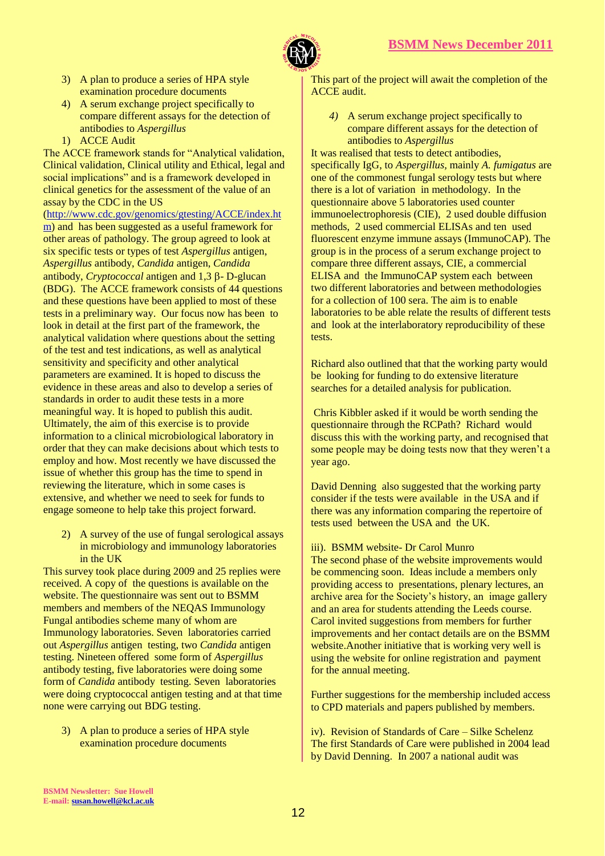

- 3) A plan to produce a series of HPA style examination procedure documents
- 4) A serum exchange project specifically to compare different assays for the detection of antibodies to *Aspergillus*
- 1) ACCE Audit

The ACCE framework stands for "Analytical validation, Clinical validation, Clinical utility and Ethical, legal and social implications" and is a framework developed in clinical genetics for the assessment of the value of an assay by the CDC in the US

[\(http://www.cdc.gov/genomics/gtesting/ACCE/index.ht](http://www.cdc.gov/genomics/gtesting/ACCE/index.htm) [m\)](http://www.cdc.gov/genomics/gtesting/ACCE/index.htm) and has been suggested as a useful framework for other areas of pathology. The group agreed to look at six specific tests or types of test *Aspergillus* antigen, *Aspergillus* antibody, *Candida* antigen, *Candida* antibody, *Cryptococcal* antigen and  $1,3 \beta$ - D-glucan (BDG). The ACCE framework consists of 44 questions and these questions have been applied to most of these tests in a preliminary way. Our focus now has been to look in detail at the first part of the framework, the analytical validation where questions about the setting of the test and test indications, as well as analytical sensitivity and specificity and other analytical parameters are examined. It is hoped to discuss the evidence in these areas and also to develop a series of standards in order to audit these tests in a more meaningful way. It is hoped to publish this audit. Ultimately, the aim of this exercise is to provide information to a clinical microbiological laboratory in order that they can make decisions about which tests to employ and how. Most recently we have discussed the issue of whether this group has the time to spend in reviewing the literature, which in some cases is extensive, and whether we need to seek for funds to engage someone to help take this project forward.

2) A survey of the use of fungal serological assays in microbiology and immunology laboratories in the UK

This survey took place during 2009 and 25 replies were received. A copy of the questions is available on the website. The questionnaire was sent out to BSMM members and members of the NEQAS Immunology Fungal antibodies scheme many of whom are Immunology laboratories. Seven laboratories carried out *Aspergillus* antigen testing, two *Candida* antigen testing. Nineteen offered some form of *Aspergillus*  antibody testing, five laboratories were doing some form of *Candida* antibody testing. Seven laboratories were doing cryptococcal antigen testing and at that time none were carrying out BDG testing.

3) A plan to produce a series of HPA style examination procedure documents

This part of the project will await the completion of the ACCE audit.

*4)* A serum exchange project specifically to compare different assays for the detection of antibodies to *Aspergillus*

It was realised that tests to detect antibodies, specifically IgG, to *Aspergillus,* mainly *A. fumigatus* are one of the commonest fungal serology tests but where there is a lot of variation in methodology. In the questionnaire above 5 laboratories used counter immunoelectrophoresis (CIE), 2 used double diffusion methods, 2 used commercial ELISAs and ten used fluorescent enzyme immune assays (ImmunoCAP). The group is in the process of a serum exchange project to compare three different assays, CIE, a commercial ELISA and the ImmunoCAP system each between two different laboratories and between methodologies for a collection of 100 sera. The aim is to enable laboratories to be able relate the results of different tests and look at the interlaboratory reproducibility of these tests.

Richard also outlined that that the working party would be looking for funding to do extensive literature searches for a detailed analysis for publication.

Chris Kibbler asked if it would be worth sending the questionnaire through the RCPath? Richard would discuss this with the working party, and recognised that some people may be doing tests now that they weren't a year ago.

David Denning also suggested that the working party consider if the tests were available in the USA and if there was any information comparing the repertoire of tests used between the USA and the UK.

#### iii). BSMM website- Dr Carol Munro

The second phase of the website improvements would be commencing soon. Ideas include a members only providing access to presentations, plenary lectures, an archive area for the Society's history, an image gallery and an area for students attending the Leeds course. Carol invited suggestions from members for further improvements and her contact details are on the BSMM website.Another initiative that is working very well is using the website for online registration and payment for the annual meeting.

Further suggestions for the membership included access to CPD materials and papers published by members.

iv). Revision of Standards of Care – Silke Schelenz The first Standards of Care were published in 2004 lead by David Denning. In 2007 a national audit was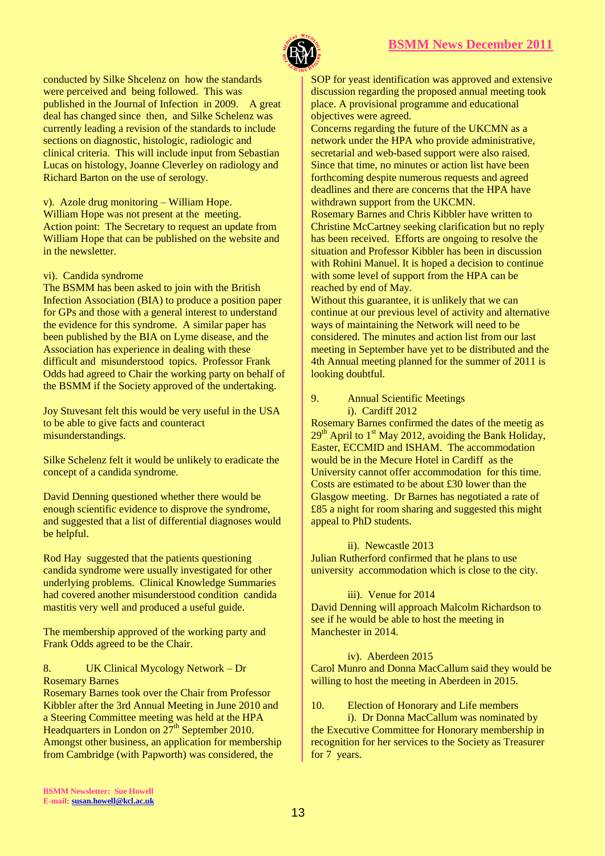

conducted by Silke Shcelenz on how the standards were perceived and being followed. This was published in the Journal of Infection in 2009. A great deal has changed since then, and Silke Schelenz was currently leading a revision of the standards to include sections on diagnostic, histologic, radiologic and clinical criteria. This will include input from Sebastian Lucas on histology, Joanne Cleverley on radiology and Richard Barton on the use of serology.

v). Azole drug monitoring – William Hope. William Hope was not present at the meeting. Action point: The Secretary to request an update from William Hope that can be published on the website and in the newsletter.

vi). Candida syndrome

The BSMM has been asked to join with the British Infection Association (BIA) to produce a position paper for GPs and those with a general interest to understand the evidence for this syndrome. A similar paper has been published by the BIA on Lyme disease, and the Association has experience in dealing with these difficult and misunderstood topics. Professor Frank Odds had agreed to Chair the working party on behalf of the BSMM if the Society approved of the undertaking.

Joy Stuvesant felt this would be very useful in the USA to be able to give facts and counteract misunderstandings.

Silke Schelenz felt it would be unlikely to eradicate the concept of a candida syndrome.

David Denning questioned whether there would be enough scientific evidence to disprove the syndrome, and suggested that a list of differential diagnoses would be helpful.

Rod Hay suggested that the patients questioning candida syndrome were usually investigated for other underlying problems. Clinical Knowledge Summaries had covered another misunderstood condition candida mastitis very well and produced a useful guide.

The membership approved of the working party and Frank Odds agreed to be the Chair.

8. UK Clinical Mycology Network – Dr Rosemary Barnes

Rosemary Barnes took over the Chair from Professor Kibbler after the 3rd Annual Meeting in June 2010 and a Steering Committee meeting was held at the HPA Headquarters in London on  $27^{\text{th}}$  September 2010. Amongst other business, an application for membership from Cambridge (with Papworth) was considered, the

SOP for yeast identification was approved and extensive discussion regarding the proposed annual meeting took place. A provisional programme and educational objectives were agreed.

Concerns regarding the future of the UKCMN as a network under the HPA who provide administrative, secretarial and web-based support were also raised. Since that time, no minutes or action list have been forthcoming despite numerous requests and agreed deadlines and there are concerns that the HPA have withdrawn support from the UKCMN.

Rosemary Barnes and Chris Kibbler have written to Christine McCartney seeking clarification but no reply has been received. Efforts are ongoing to resolve the situation and Professor Kibbler has been in discussion with Rohini Manuel. It is hoped a decision to continue with some level of support from the HPA can be reached by end of May.

Without this guarantee, it is unlikely that we can continue at our previous level of activity and alternative ways of maintaining the Network will need to be considered. The minutes and action list from our last meeting in September have yet to be distributed and the 4th Annual meeting planned for the summer of 2011 is looking doubtful.

#### 9. Annual Scientific Meetings i). Cardiff 2012

Rosemary Barnes confirmed the dates of the meetig as  $29<sup>th</sup>$  April to 1<sup>st</sup> May 2012, avoiding the Bank Holiday, Easter, ECCMID and ISHAM. The accommodation would be in the Mecure Hotel in Cardiff as the University cannot offer accommodation for this time. Costs are estimated to be about £30 lower than the Glasgow meeting. Dr Barnes has negotiated a rate of £85 a night for room sharing and suggested this might appeal to PhD students.

#### ii). Newcastle 2013

Julian Rutherford confirmed that he plans to use university accommodation which is close to the city.

#### iii). Venue for 2014

David Denning will approach Malcolm Richardson to see if he would be able to host the meeting in Manchester in 2014.

#### iv). Aberdeen 2015

Carol Munro and Donna MacCallum said they would be willing to host the meeting in Aberdeen in 2015.

#### 10. Election of Honorary and Life members

i). Dr Donna MacCallum was nominated by the Executive Committee for Honorary membership in recognition for her services to the Society as Treasurer for 7 years.